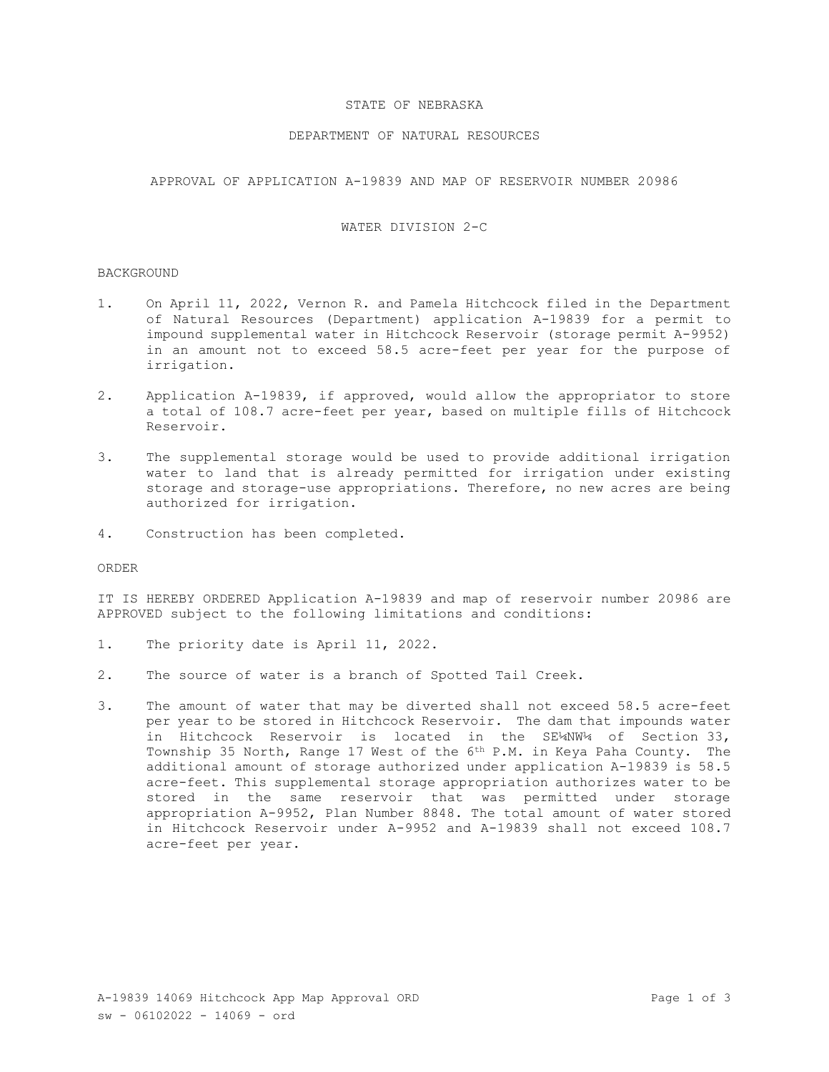## STATE OF NEBRASKA

## DEPARTMENT OF NATURAL RESOURCES

APPROVAL OF APPLICATION A-19839 AND MAP OF RESERVOIR NUMBER 20986

## WATER DIVISION 2-C

#### **BACKGROUND**

- 1. On April 11, 2022, Vernon R. and Pamela Hitchcock filed in the Department of Natural Resources (Department) application A-19839 for a permit to impound supplemental water in Hitchcock Reservoir (storage permit A-9952) in an amount not to exceed 58.5 acre-feet per year for the purpose of irrigation.
- 2. Application A-19839, if approved, would allow the appropriator to store a total of 108.7 acre-feet per year, based on multiple fills of Hitchcock Reservoir.
- 3. The supplemental storage would be used to provide additional irrigation water to land that is already permitted for irrigation under existing storage and storage-use appropriations. Therefore, no new acres are being authorized for irrigation.
- 4. Construction has been completed.

ORDER

IT IS HEREBY ORDERED Application A-19839 and map of reservoir number 20986 are APPROVED subject to the following limitations and conditions:

- 1. The priority date is April 11, 2022.
- 2. The source of water is a branch of Spotted Tail Creek.
- 3. The amount of water that may be diverted shall not exceed 58.5 acre-feet per year to be stored in Hitchcock Reservoir. The dam that impounds water in Hitchcock Reservoir is located in the SE¼NW¼ of Section 33, Township 35 North, Range 17 West of the 6<sup>th</sup> P.M. in Keya Paha County. The additional amount of storage authorized under application A-19839 is 58.5 acre-feet. This supplemental storage appropriation authorizes water to be stored in the same reservoir that was permitted under storage appropriation A-9952, Plan Number 8848. The total amount of water stored in Hitchcock Reservoir under A-9952 and A-19839 shall not exceed 108.7 acre-feet per year.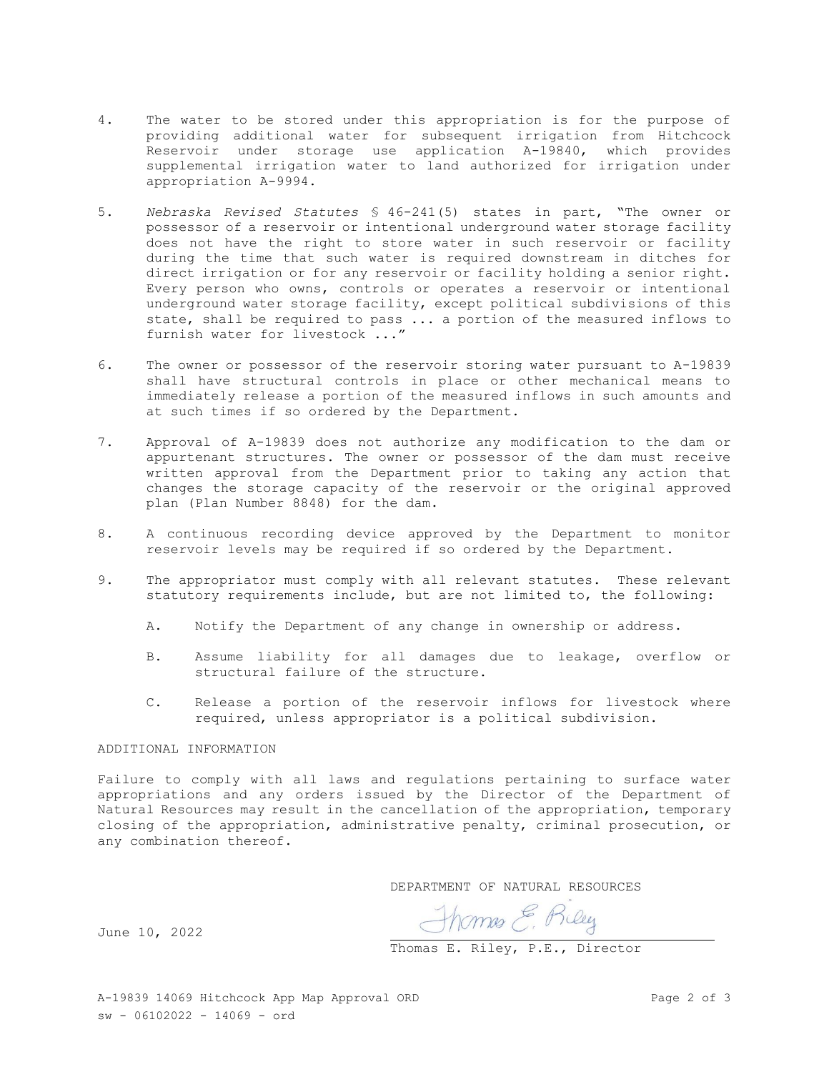- 4. The water to be stored under this appropriation is for the purpose of providing additional water for subsequent irrigation from Hitchcock Reservoir under storage use application A-19840, which provides supplemental irrigation water to land authorized for irrigation under appropriation A-9994.
- 5. *Nebraska Revised Statutes* § 46-241(5) states in part, "The owner or possessor of a reservoir or intentional underground water storage facility does not have the right to store water in such reservoir or facility during the time that such water is required downstream in ditches for direct irrigation or for any reservoir or facility holding a senior right. Every person who owns, controls or operates a reservoir or intentional underground water storage facility, except political subdivisions of this state, shall be required to pass ... a portion of the measured inflows to furnish water for livestock ..."
- 6. The owner or possessor of the reservoir storing water pursuant to A-19839 shall have structural controls in place or other mechanical means to immediately release a portion of the measured inflows in such amounts and at such times if so ordered by the Department.
- 7. Approval of A-19839 does not authorize any modification to the dam or appurtenant structures. The owner or possessor of the dam must receive written approval from the Department prior to taking any action that changes the storage capacity of the reservoir or the original approved plan (Plan Number 8848) for the dam.
- 8. A continuous recording device approved by the Department to monitor reservoir levels may be required if so ordered by the Department.
- 9. The appropriator must comply with all relevant statutes. These relevant statutory requirements include, but are not limited to, the following:
	- A. Notify the Department of any change in ownership or address.
	- B. Assume liability for all damages due to leakage, overflow or structural failure of the structure.
	- C. Release a portion of the reservoir inflows for livestock where required, unless appropriator is a political subdivision.

# ADDITIONAL INFORMATION

Failure to comply with all laws and regulations pertaining to surface water appropriations and any orders issued by the Director of the Department of Natural Resources may result in the cancellation of the appropriation, temporary closing of the appropriation, administrative penalty, criminal prosecution, or any combination thereof.

DEPARTMENT OF NATURAL RESOURCES

Thomas E. Biley

June 10, 2022

Thomas E. Riley, P.E., Director

A-19839 14069 Hitchcock App Map Approval ORD Page 2 of 3  $sw - 06102022 - 14069 - ord$